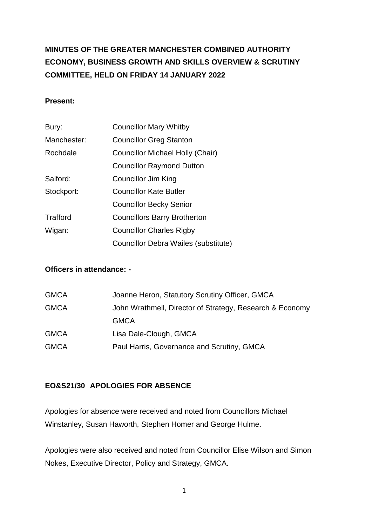# **MINUTES OF THE GREATER MANCHESTER COMBINED AUTHORITY ECONOMY, BUSINESS GROWTH AND SKILLS OVERVIEW & SCRUTINY COMMITTEE, HELD ON FRIDAY 14 JANUARY 2022**

# **Present:**

| Bury:       | <b>Councillor Mary Whitby</b>           |
|-------------|-----------------------------------------|
| Manchester: | <b>Councillor Greg Stanton</b>          |
| Rochdale    | <b>Councillor Michael Holly (Chair)</b> |
|             | <b>Councillor Raymond Dutton</b>        |
| Salford:    | Councillor Jim King                     |
| Stockport:  | <b>Councillor Kate Butler</b>           |
|             | <b>Councillor Becky Senior</b>          |
| Trafford    | <b>Councillors Barry Brotherton</b>     |
| Wigan:      | <b>Councillor Charles Rigby</b>         |
|             | Councillor Debra Wailes (substitute)    |

# **Officers in attendance: -**

| <b>GMCA</b> | Joanne Heron, Statutory Scrutiny Officer, GMCA           |
|-------------|----------------------------------------------------------|
| <b>GMCA</b> | John Wrathmell, Director of Strategy, Research & Economy |
|             | <b>GMCA</b>                                              |
| <b>GMCA</b> | Lisa Dale-Clough, GMCA                                   |
| <b>GMCA</b> | Paul Harris, Governance and Scrutiny, GMCA               |
|             |                                                          |

# **EO&S21/30 APOLOGIES FOR ABSENCE**

Apologies for absence were received and noted from Councillors Michael Winstanley, Susan Haworth, Stephen Homer and George Hulme.

Apologies were also received and noted from Councillor Elise Wilson and Simon Nokes, Executive Director, Policy and Strategy, GMCA.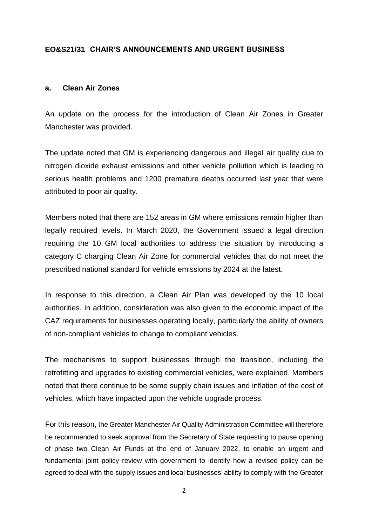#### **EO&S21/31 CHAIR'S ANNOUNCEMENTS AND URGENT BUSINESS**

#### **a. Clean Air Zones**

An update on the process for the introduction of Clean Air Zones in Greater Manchester was provided.

The update noted that GM is experiencing dangerous and illegal air quality due to nitrogen dioxide exhaust emissions and other vehicle pollution which is leading to serious health problems and 1200 premature deaths occurred last year that were attributed to poor air quality.

Members noted that there are 152 areas in GM where emissions remain higher than legally required levels. In March 2020, the Government issued a legal direction requiring the 10 GM local authorities to address the situation by introducing a category C charging Clean Air Zone for commercial vehicles that do not meet the prescribed national standard for vehicle emissions by 2024 at the latest.

In response to this direction, a Clean Air Plan was developed by the 10 local authorities. In addition, consideration was also given to the economic impact of the CAZ requirements for businesses operating locally, particularly the ability of owners of non-compliant vehicles to change to compliant vehicles.

The mechanisms to support businesses through the transition, including the retrofitting and upgrades to existing commercial vehicles, were explained. Members noted that there continue to be some supply chain issues and inflation of the cost of vehicles, which have impacted upon the vehicle upgrade process.

For this reason, the Greater Manchester Air Quality Administration Committee will therefore be recommended to seek approval from the Secretary of State requesting to pause opening of phase two Clean Air Funds at the end of January 2022, to enable an urgent and fundamental joint policy review with government to identify how a revised policy can be agreed to deal with the supply issues and local businesses' ability to comply with the Greater

2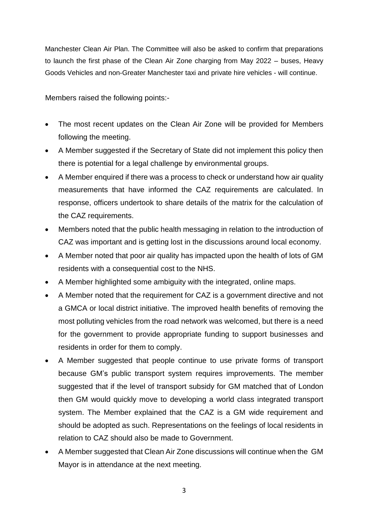Manchester Clean Air Plan. The Committee will also be asked to confirm that preparations to launch the first phase of the Clean Air Zone charging from May 2022 – buses, Heavy Goods Vehicles and non-Greater Manchester taxi and private hire vehicles - will continue.

Members raised the following points:-

- The most recent updates on the Clean Air Zone will be provided for Members following the meeting.
- A Member suggested if the Secretary of State did not implement this policy then there is potential for a legal challenge by environmental groups.
- A Member enquired if there was a process to check or understand how air quality measurements that have informed the CAZ requirements are calculated. In response, officers undertook to share details of the matrix for the calculation of the CAZ requirements.
- Members noted that the public health messaging in relation to the introduction of CAZ was important and is getting lost in the discussions around local economy.
- A Member noted that poor air quality has impacted upon the health of lots of GM residents with a consequential cost to the NHS.
- A Member highlighted some ambiguity with the integrated, online maps.
- A Member noted that the requirement for CAZ is a government directive and not a GMCA or local district initiative. The improved health benefits of removing the most polluting vehicles from the road network was welcomed, but there is a need for the government to provide appropriate funding to support businesses and residents in order for them to comply.
- A Member suggested that people continue to use private forms of transport because GM's public transport system requires improvements. The member suggested that if the level of transport subsidy for GM matched that of London then GM would quickly move to developing a world class integrated transport system. The Member explained that the CAZ is a GM wide requirement and should be adopted as such. Representations on the feelings of local residents in relation to CAZ should also be made to Government.
- A Member suggested that Clean Air Zone discussions will continue when the GM Mayor is in attendance at the next meeting.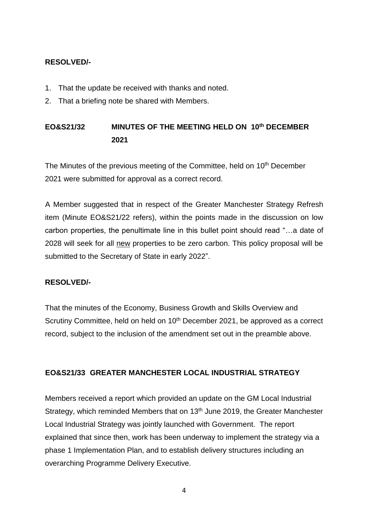# **RESOLVED/-**

- 1. That the update be received with thanks and noted.
- 2. That a briefing note be shared with Members.

# **EO&S21/32 MINUTES OF THE MEETING HELD ON 10th DECEMBER 2021**

The Minutes of the previous meeting of the Committee, held on 10<sup>th</sup> December 2021 were submitted for approval as a correct record.

A Member suggested that in respect of the Greater Manchester Strategy Refresh item (Minute EO&S21/22 refers), within the points made in the discussion on low carbon properties, the penultimate line in this bullet point should read "…a date of 2028 will seek for all new properties to be zero carbon. This policy proposal will be submitted to the Secretary of State in early 2022".

# **RESOLVED/-**

That the minutes of the Economy, Business Growth and Skills Overview and Scrutiny Committee, held on held on 10<sup>th</sup> December 2021, be approved as a correct record, subject to the inclusion of the amendment set out in the preamble above.

# **EO&S21/33 GREATER MANCHESTER LOCAL INDUSTRIAL STRATEGY**

Members received a report which provided an update on the GM Local Industrial Strategy, which reminded Members that on 13<sup>th</sup> June 2019, the Greater Manchester Local Industrial Strategy was jointly launched with Government. The report explained that since then, work has been underway to implement the strategy via a phase 1 Implementation Plan, and to establish delivery structures including an overarching Programme Delivery Executive.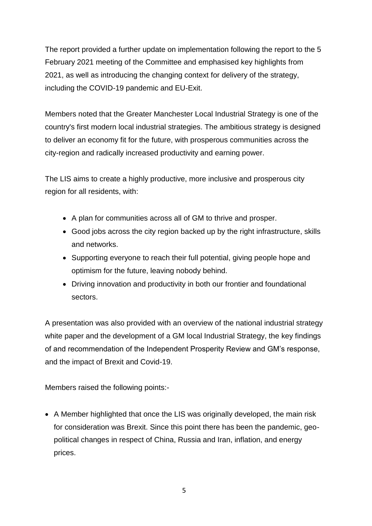The report provided a further update on implementation following the report to the 5 February 2021 meeting of the Committee and emphasised key highlights from 2021, as well as introducing the changing context for delivery of the strategy, including the COVID-19 pandemic and EU-Exit.

Members noted that the Greater Manchester Local Industrial Strategy is one of the country's first modern local industrial strategies. The ambitious strategy is designed to deliver an economy fit for the future, with prosperous communities across the city-region and radically increased productivity and earning power.

The LIS aims to create a highly productive, more inclusive and prosperous city region for all residents, with:

- A plan for communities across all of GM to thrive and prosper.
- Good jobs across the city region backed up by the right infrastructure, skills and networks.
- Supporting everyone to reach their full potential, giving people hope and optimism for the future, leaving nobody behind.
- Driving innovation and productivity in both our frontier and foundational sectors.

A presentation was also provided with an overview of the national industrial strategy white paper and the development of a GM local Industrial Strategy, the key findings of and recommendation of the Independent Prosperity Review and GM's response, and the impact of Brexit and Covid-19.

Members raised the following points:-

 A Member highlighted that once the LIS was originally developed, the main risk for consideration was Brexit. Since this point there has been the pandemic, geopolitical changes in respect of China, Russia and Iran, inflation, and energy prices.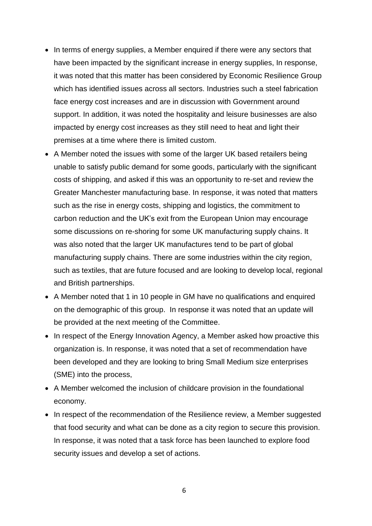- In terms of energy supplies, a Member enquired if there were any sectors that have been impacted by the significant increase in energy supplies, In response, it was noted that this matter has been considered by Economic Resilience Group which has identified issues across all sectors. Industries such a steel fabrication face energy cost increases and are in discussion with Government around support. In addition, it was noted the hospitality and leisure businesses are also impacted by energy cost increases as they still need to heat and light their premises at a time where there is limited custom.
- A Member noted the issues with some of the larger UK based retailers being unable to satisfy public demand for some goods, particularly with the significant costs of shipping, and asked if this was an opportunity to re-set and review the Greater Manchester manufacturing base. In response, it was noted that matters such as the rise in energy costs, shipping and logistics, the commitment to carbon reduction and the UK's exit from the European Union may encourage some discussions on re-shoring for some UK manufacturing supply chains. It was also noted that the larger UK manufactures tend to be part of global manufacturing supply chains. There are some industries within the city region, such as textiles, that are future focused and are looking to develop local, regional and British partnerships.
- A Member noted that 1 in 10 people in GM have no qualifications and enquired on the demographic of this group. In response it was noted that an update will be provided at the next meeting of the Committee.
- In respect of the Energy Innovation Agency, a Member asked how proactive this organization is. In response, it was noted that a set of recommendation have been developed and they are looking to bring Small Medium size enterprises (SME) into the process,
- A Member welcomed the inclusion of childcare provision in the foundational economy.
- In respect of the recommendation of the Resilience review, a Member suggested that food security and what can be done as a city region to secure this provision. In response, it was noted that a task force has been launched to explore food security issues and develop a set of actions.

6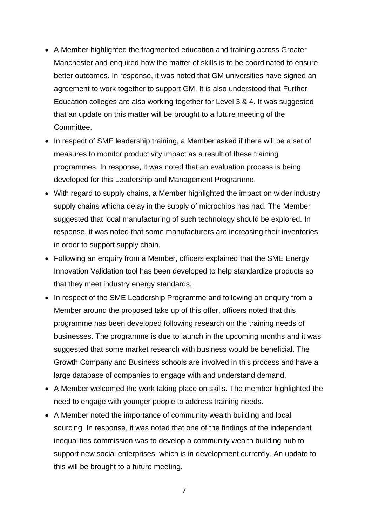- A Member highlighted the fragmented education and training across Greater Manchester and enquired how the matter of skills is to be coordinated to ensure better outcomes. In response, it was noted that GM universities have signed an agreement to work together to support GM. It is also understood that Further Education colleges are also working together for Level 3 & 4. It was suggested that an update on this matter will be brought to a future meeting of the Committee.
- In respect of SME leadership training, a Member asked if there will be a set of measures to monitor productivity impact as a result of these training programmes. In response, it was noted that an evaluation process is being developed for this Leadership and Management Programme.
- With regard to supply chains, a Member highlighted the impact on wider industry supply chains whicha delay in the supply of microchips has had. The Member suggested that local manufacturing of such technology should be explored. In response, it was noted that some manufacturers are increasing their inventories in order to support supply chain.
- Following an enquiry from a Member, officers explained that the SME Energy Innovation Validation tool has been developed to help standardize products so that they meet industry energy standards.
- In respect of the SME Leadership Programme and following an enquiry from a Member around the proposed take up of this offer, officers noted that this programme has been developed following research on the training needs of businesses. The programme is due to launch in the upcoming months and it was suggested that some market research with business would be beneficial. The Growth Company and Business schools are involved in this process and have a large database of companies to engage with and understand demand.
- A Member welcomed the work taking place on skills. The member highlighted the need to engage with younger people to address training needs.
- A Member noted the importance of community wealth building and local sourcing. In response, it was noted that one of the findings of the independent inequalities commission was to develop a community wealth building hub to support new social enterprises, which is in development currently. An update to this will be brought to a future meeting.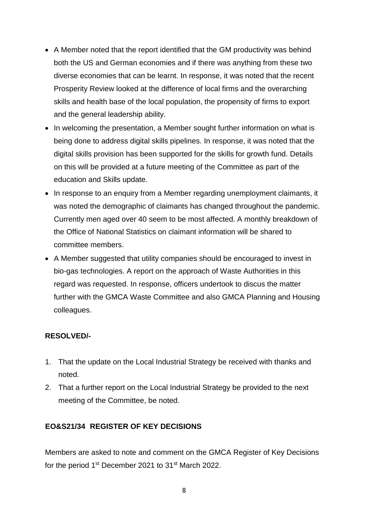- A Member noted that the report identified that the GM productivity was behind both the US and German economies and if there was anything from these two diverse economies that can be learnt. In response, it was noted that the recent Prosperity Review looked at the difference of local firms and the overarching skills and health base of the local population, the propensity of firms to export and the general leadership ability.
- In welcoming the presentation, a Member sought further information on what is being done to address digital skills pipelines. In response, it was noted that the digital skills provision has been supported for the skills for growth fund. Details on this will be provided at a future meeting of the Committee as part of the education and Skills update.
- In response to an enquiry from a Member regarding unemployment claimants, it was noted the demographic of claimants has changed throughout the pandemic. Currently men aged over 40 seem to be most affected. A monthly breakdown of the Office of National Statistics on claimant information will be shared to committee members.
- A Member suggested that utility companies should be encouraged to invest in bio-gas technologies. A report on the approach of Waste Authorities in this regard was requested. In response, officers undertook to discus the matter further with the GMCA Waste Committee and also GMCA Planning and Housing colleagues.

# **RESOLVED/-**

- 1. That the update on the Local Industrial Strategy be received with thanks and noted.
- 2. That a further report on the Local Industrial Strategy be provided to the next meeting of the Committee, be noted.

# **EO&S21/34 REGISTER OF KEY DECISIONS**

Members are asked to note and comment on the GMCA Register of Key Decisions for the period 1<sup>st</sup> December 2021 to 31<sup>st</sup> March 2022.